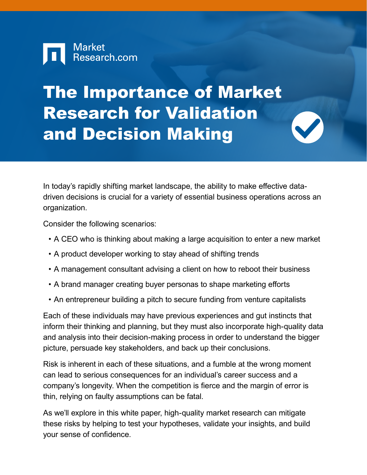

# The Importance of Market Research for Validation and Decision Making

In today's rapidly shifting market landscape, the ability to make effective datadriven decisions is crucial for a variety of essential business operations across an organization.

Consider the following scenarios:

- A CEO who is thinking about making a large acquisition to enter a new market
- A product developer working to stay ahead of shifting trends
- A management consultant advising a client on how to reboot their business
- A brand manager creating buyer personas to shape marketing efforts
- An entrepreneur building a pitch to secure funding from venture capitalists

Each of these individuals may have previous experiences and gut instincts that inform their thinking and planning, but they must also incorporate high-quality data and analysis into their decision-making process in order to understand the bigger picture, persuade key stakeholders, and back up their conclusions.

Risk is inherent in each of these situations, and a fumble at the wrong moment can lead to serious consequences for an individual's career success and a company's longevity. When the competition is fierce and the margin of error is thin, relying on faulty assumptions can be fatal.

As we'll explore in this white paper, high-quality market research can mitigate these risks by helping to test your hypotheses, validate your insights, and build your sense of confidence.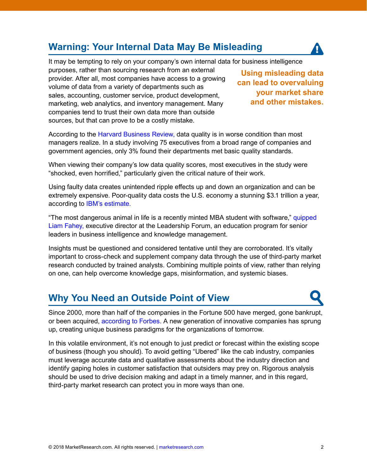## **Warning: Your Internal Data May Be Misleading**



It may be tempting to rely on your company's own internal data for business intelligence

purposes, rather than sourcing research from an external provider. After all, most companies have access to a growing volume of data from a variety of departments such as sales, accounting, customer service, product development, marketing, web analytics, and inventory management. Many companies tend to trust their own data more than outside sources, but that can prove to be a costly mistake.

**Using misleading data can lead to overvaluing your market share and other mistakes.**

According to the [Harvard Business Review,](https://hbr.org/2017/09/only-3-of-companies-data-meets-basic-quality-standards) data quality is in worse condition than most managers realize. In a study involving 75 executives from a broad range of companies and government agencies, only 3% found their departments met basic quality standards.

When viewing their company's low data quality scores, most executives in the study were "shocked, even horrified," particularly given the critical nature of their work.

Using faulty data creates unintended ripple effects up and down an organization and can be extremely expensive. Poor-quality data costs the U.S. economy a stunning \$3.1 trillion a year, according to [IBM's estimate.](http://www.ibmbigdatahub.com/infographic/four-vs-big-data)

"The most dangerous animal in life is a recently minted MBA student with software," quipped [Liam Fahey,](https://www.ama.org/academics/Pages/What-is-Marketing-Insight.aspx) executive director at the Leadership Forum, an education program for senior leaders in business intelligence and knowledge management.

Insights must be questioned and considered tentative until they are corroborated. It's vitally important to cross-check and supplement company data through the use of third-party market research conducted by trained analysts. Combining multiple points of view, rather than relying on one, can help overcome knowledge gaps, misinformation, and systemic biases.

#### **Why You Need an Outside Point of View**

Since 2000, more than half of the companies in the Fortune 500 have merged, gone bankrupt, or been acquired, [according to Forbes.](https://www.forbes.com/sites/oracle/2014/12/19/ray-wang-cloud-is-the-foundation-for-digital-transformation/#37d398486483) A new generation of innovative companies has sprung up, creating unique business paradigms for the organizations of tomorrow.

In this volatile environment, it's not enough to just predict or forecast within the existing scope of business (though you should). To avoid getting "Ubered" like the cab industry, companies must leverage accurate data and qualitative assessments about the industry direction and identify gaping holes in customer satisfaction that outsiders may prey on. Rigorous analysis should be used to drive decision making and adapt in a timely manner, and in this regard, third-party market research can protect you in more ways than one.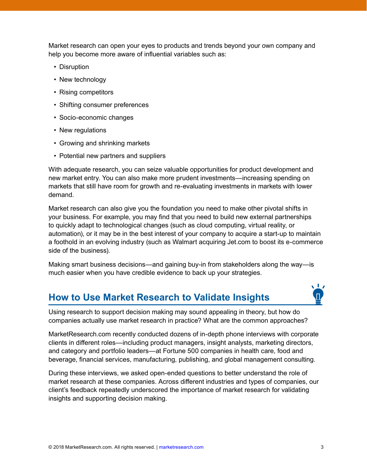Market research can open your eyes to products and trends beyond your own company and help you become more aware of influential variables such as:

- Disruption
- New technology
- Rising competitors
- Shifting consumer preferences
- Socio-economic changes
- New regulations
- Growing and shrinking markets
- Potential new partners and suppliers

With adequate research, you can seize valuable opportunities for product development and new market entry. You can also make more prudent investments—increasing spending on markets that still have room for growth and re-evaluating investments in markets with lower demand.

Market research can also give you the foundation you need to make other pivotal shifts in your business. For example, you may find that you need to build new external partnerships to quickly adapt to technological changes (such as cloud computing, virtual reality, or automation), or it may be in the best interest of your company to acquire a start-up to maintain a foothold in an evolving industry (such as Walmart acquiring Jet.com to boost its e-commerce side of the business).

Making smart business decisions—and gaining buy-in from stakeholders along the way—is much easier when you have credible evidence to back up your strategies.

#### **How to Use Market Research to Validate Insights**



Using research to support decision making may sound appealing in theory, but how do companies actually use market research in practice? What are the common approaches?

MarketResearch.com recently conducted dozens of in-depth phone interviews with corporate clients in different roles—including product managers, insight analysts, marketing directors, and category and portfolio leaders—at Fortune 500 companies in health care, food and beverage, financial services, manufacturing, publishing, and global management consulting.

During these interviews, we asked open-ended questions to better understand the role of market research at these companies. Across different industries and types of companies, our client's feedback repeatedly underscored the importance of market research for validating insights and supporting decision making.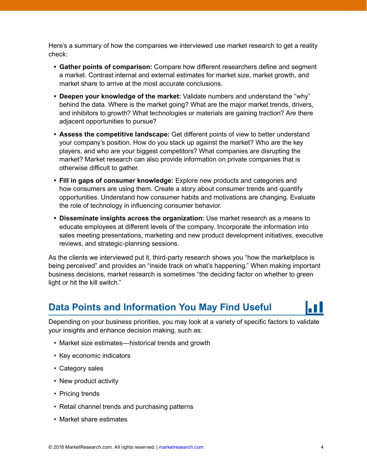Here's a summary of how the companies we interviewed use market research to get a reality check:

- **• Gather points of comparison:** Compare how different researchers define and segment a market. Contrast internal and external estimates for market size, market growth, and market share to arrive at the most accurate conclusions.
- **• Deepen your knowledge of the market:** Validate numbers and understand the "why" behind the data. Where is the market going? What are the major market trends, drivers, and inhibitors to growth? What technologies or materials are gaining traction? Are there adjacent opportunities to pursue?
- **• Assess the competitive landscape:** Get different points of view to better understand your company's position. How do you stack up against the market? Who are the key players, and who are your biggest competitors? What companies are disrupting the market? Market research can also provide information on private companies that is otherwise difficult to gather.
- **• Fill in gaps of consumer knowledge:** Explore new products and categories and how consumers are using them. Create a story about consumer trends and quantify opportunities. Understand how consumer habits and motivations are changing. Evaluate the role of technology in influencing consumer behavior.
- **• Disseminate insights across the organization:** Use market research as a means to educate employees at different levels of the company. Incorporate the information into sales meeting presentations, marketing and new product development initiatives, executive reviews, and strategic-planning sessions.

As the clients we interviewed put it, third-party research shows you "how the marketplace is being perceived" and provides an "inside track on what's happening." When making important business decisions, market research is sometimes "the deciding factor on whether to green light or hit the kill switch."

#### **Data Points and Information You May Find Useful**

Depending on your business priorities, you may look at a variety of specific factors to validate your insights and enhance decision making, such as:

- Market size estimates—historical trends and growth
- Key economic indicators
- Category sales
- New product activity
- Pricing trends
- Retail channel trends and purchasing patterns
- Market share estimates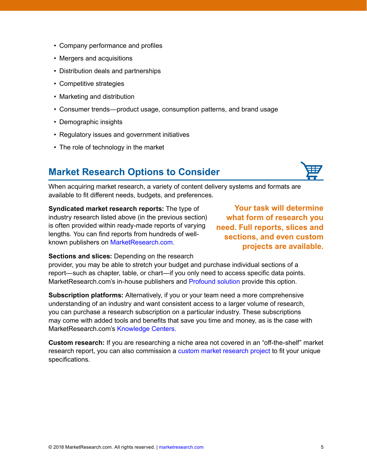- Company performance and profiles
- Mergers and acquisitions
- Distribution deals and partnerships
- Competitive strategies
- Marketing and distribution
- Consumer trends—product usage, consumption patterns, and brand usage
- Demographic insights
- Regulatory issues and government initiatives
- The role of technology in the market

#### **Market Research Options to Consider**



When acquiring market research, a variety of content delivery systems and formats are available to fit different needs, budgets, and preferences.

**Syndicated market research reports:** The type of industry research listed above (in the previous section) is often provided within ready-made reports of varying lengths. You can find reports from hundreds of wellknown publishers on [MarketResearch.com.](https://www.marketresearch.com/?progid=90744)

**Your task will determine what form of research you need. Full reports, slices and sections, and even custom projects are available.** 

**Sections and slices:** Depending on the research

provider, you may be able to stretch your budget and purchase individual sections of a report—such as chapter, table, or chart—if you only need to access specific data points. MarketResearch.com's in-house publishers and [Profound solution](https://profound.com/Home.aspx?ReturnUrl=%2f) provide this option.

**Subscription platforms:** Alternatively, if you or your team need a more comprehensive understanding of an industry and want consistent access to a larger volume of research, you can purchase a research subscription on a particular industry. These subscriptions may come with added tools and benefits that save you time and money, as is the case with MarketResearch.com's [Knowledge Centers.](https://content.marketresearch.com/marketresearch-knowledge-center-solutions?)

**Custom research:** If you are researching a niche area not covered in an "off-the-shelf" market research report, you can also commission a [custom market research project](https://www.freedoniagroup.com/Content/Custom-Research) to fit your unique specifications.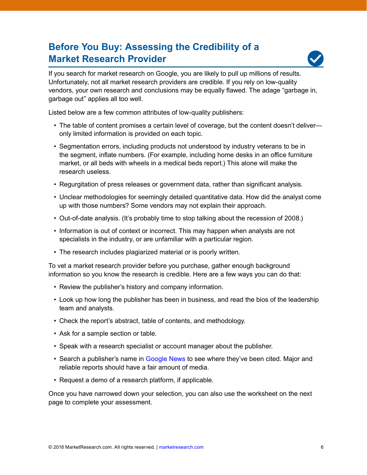### **Before You Buy: Assessing the Credibility of a Market Research Provider**



If you search for market research on Google, you are likely to pull up millions of results. Unfortunately, not all market research providers are credible. If you rely on low-quality vendors, your own research and conclusions may be equally flawed. The adage "garbage in, garbage out" applies all too well.

Listed below are a few common attributes of low-quality publishers:

- The table of content promises a certain level of coverage, but the content doesn't deliver only limited information is provided on each topic.
- Segmentation errors, including products not understood by industry veterans to be in the segment, inflate numbers. (For example, including home desks in an office furniture market, or all beds with wheels in a medical beds report.) This alone will make the research useless.
- Regurgitation of press releases or government data, rather than significant analysis.
- Unclear methodologies for seemingly detailed quantitative data. How did the analyst come up with those numbers? Some vendors may not explain their approach.
- Out-of-date analysis. (It's probably time to stop talking about the recession of 2008.)
- Information is out of context or incorrect. This may happen when analysts are not specialists in the industry, or are unfamiliar with a particular region.
- The research includes plagiarized material or is poorly written.

To vet a market research provider before you purchase, gather enough background information so you know the research is credible. Here are a few ways you can do that:

- Review the publisher's history and company information.
- Look up how long the publisher has been in business, and read the bios of the leadership team and analysts.
- Check the report's abstract, table of contents, and methodology.
- Ask for a sample section or table.
- Speak with a research specialist or account manager about the publisher.
- Search a publisher's name in [Google News](https://news.google.com/) to see where they've been cited. Major and reliable reports should have a fair amount of media.
- Request a demo of a research platform, if applicable.

Once you have narrowed down your selection, you can also use the worksheet on the next page to complete your assessment.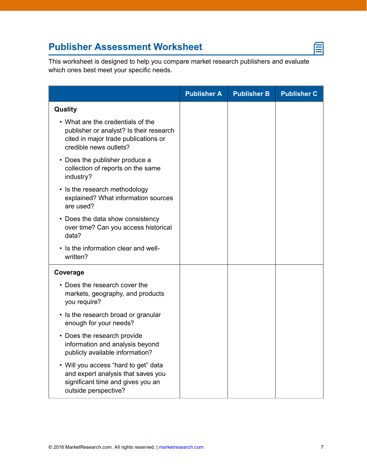# **Publisher Assessment Worksheet**

⋹

This worksheet is designed to help you compare market research publishers and evaluate which ones best meet your specific needs.

|                                                                                                                                                | <b>Publisher A</b> | <b>Publisher B</b> | <b>Publisher C</b> |
|------------------------------------------------------------------------------------------------------------------------------------------------|--------------------|--------------------|--------------------|
| Quality                                                                                                                                        |                    |                    |                    |
| • What are the credentials of the<br>publisher or analyst? Is their research<br>cited in major trade publications or<br>credible news outlets? |                    |                    |                    |
| • Does the publisher produce a<br>collection of reports on the same<br>industry?                                                               |                    |                    |                    |
| • Is the research methodology<br>explained? What information sources<br>are used?                                                              |                    |                    |                    |
| • Does the data show consistency<br>over time? Can you access historical<br>data?                                                              |                    |                    |                    |
| • Is the information clear and well-<br>written?                                                                                               |                    |                    |                    |
| Coverage                                                                                                                                       |                    |                    |                    |
| • Does the research cover the<br>markets, geography, and products<br>you require?                                                              |                    |                    |                    |
| • Is the research broad or granular<br>enough for your needs?                                                                                  |                    |                    |                    |
| • Does the research provide<br>information and analysis beyond<br>publicly available information?                                              |                    |                    |                    |
| • Will you access "hard to get" data<br>and expert analysis that saves you<br>significant time and gives you an<br>outside perspective?        |                    |                    |                    |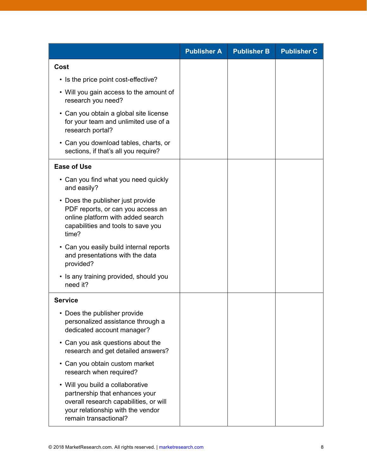|                                                                                                                                                                            | <b>Publisher A</b> | <b>Publisher B</b> | <b>Publisher C</b> |
|----------------------------------------------------------------------------------------------------------------------------------------------------------------------------|--------------------|--------------------|--------------------|
| Cost                                                                                                                                                                       |                    |                    |                    |
| • Is the price point cost-effective?                                                                                                                                       |                    |                    |                    |
| • Will you gain access to the amount of<br>research you need?                                                                                                              |                    |                    |                    |
| • Can you obtain a global site license<br>for your team and unlimited use of a<br>research portal?                                                                         |                    |                    |                    |
| • Can you download tables, charts, or<br>sections, if that's all you require?                                                                                              |                    |                    |                    |
| <b>Ease of Use</b>                                                                                                                                                         |                    |                    |                    |
| • Can you find what you need quickly<br>and easily?                                                                                                                        |                    |                    |                    |
| • Does the publisher just provide<br>PDF reports, or can you access an<br>online platform with added search<br>capabilities and tools to save you<br>time?                 |                    |                    |                    |
| • Can you easily build internal reports<br>and presentations with the data<br>provided?                                                                                    |                    |                    |                    |
| • Is any training provided, should you<br>need it?                                                                                                                         |                    |                    |                    |
| <b>Service</b>                                                                                                                                                             |                    |                    |                    |
| Does the publisher provide<br>personalized assistance through a<br>dedicated account manager?                                                                              |                    |                    |                    |
| • Can you ask questions about the<br>research and get detailed answers?                                                                                                    |                    |                    |                    |
| • Can you obtain custom market<br>research when required?                                                                                                                  |                    |                    |                    |
| • Will you build a collaborative<br>partnership that enhances your<br>overall research capabilities, or will<br>your relationship with the vendor<br>remain transactional? |                    |                    |                    |